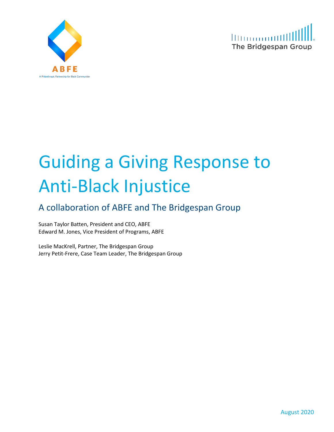



# Guiding a Giving Response to Anti-Black Injustice

# A collaboration of ABFE and The Bridgespan Group

Susan Taylor Batten, President and CEO, ABFE Edward M. Jones, Vice President of Programs, ABFE

Leslie MacKrell, Partner, The Bridgespan Group Jerry Petit-Frere, Case Team Leader, The Bridgespan Group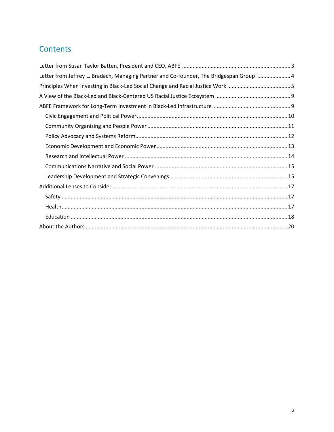# Contents

| Letter from Jeffrey L. Bradach, Managing Partner and Co-founder, The Bridgespan Group  4 |
|------------------------------------------------------------------------------------------|
|                                                                                          |
|                                                                                          |
|                                                                                          |
|                                                                                          |
|                                                                                          |
|                                                                                          |
|                                                                                          |
|                                                                                          |
|                                                                                          |
|                                                                                          |
|                                                                                          |
|                                                                                          |
|                                                                                          |
|                                                                                          |
|                                                                                          |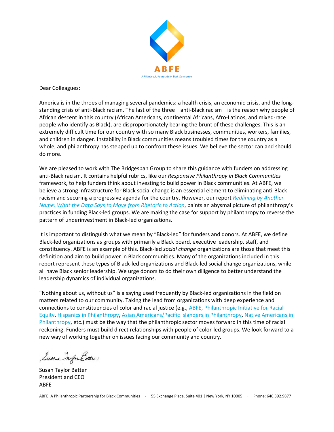

Dear Colleagues:

America is in the throes of managing several pandemics: a health crisis, an economic crisis, and the longstanding crisis of anti-Black racism. The last of the three—anti-Black racism—is the reason why people of African descent in this country (African Americans, continental Africans, Afro-Latinos, and mixed-race people who identify as Black), are disproportionately bearing the brunt of these challenges. This is an extremely difficult time for our country with so many Black businesses, communities, workers, families, and children in danger. Instability in Black communities means troubled times for the country as a whole, and philanthropy has stepped up to confront these issues. We believe the sector can and should do more.

We are pleased to work with The Bridgespan Group to share this guidance with funders on addressing anti-Black racism. It contains helpful rubrics, like our *Responsive Philanthropy in Black Communities* framework, to help funders think about investing to build power in Black communities. At ABFE, we believe a strong infrastructure for Black social change is an essential element to eliminating anti-Black racism and securing a progressive agenda for the country. However, our report *[Redlining by Another](http://www.blacksocialchange.org/wp-content/uploads/2020/05/BSCFN_BLSCO_Report.pdf)  [Name: What the Data Says to Move from Rhetoric to Action](http://www.blacksocialchange.org/wp-content/uploads/2020/05/BSCFN_BLSCO_Report.pdf)*, paints an abysmal picture of philanthropy's practices in funding Black-led groups. We are making the case for support by philanthropy to reverse the pattern of underinvestment in Black-led organizations.

It is important to distinguish what we mean by "Black-led" for funders and donors. At ABFE, we define Black-led organizations as groups with primarily a Black board, executive leadership, staff, and constituency. ABFE is an example of this. Black-led *social change* organizations are those that meet this definition and aim to build power in Black communities. Many of the organizations included in this report represent these types of Black-led organizations and Black-led social change organizations, while all have Black senior leadership. We urge donors to do their own diligence to better understand the leadership dynamics of individual organizations.

"Nothing about us, without us" is a saying used frequently by Black-led organizations in the field on matters related to our community. Taking the lead from organizations with deep experience and connections to constituencies of color and racial justice (e.g.[, ABFE,](https://www.abfe.org/) [Philanthropic Initiative for Racial](https://racialequity.org/)  [Equity,](https://racialequity.org/) [Hispanics in Philanthropy,](https://hiponline.org/) [Asian Americans/Pacific Islanders in Philanthropy,](https://aapip.org/) [Native Americans in](https://nativephilanthropy.org/)  [Philanthropy,](https://nativephilanthropy.org/) etc.) must be the way that the philanthropic sector moves forward in this time of racial reckoning. Funders must build direct relationships with people of color-led groups. We look forward to a new way of working together on issues facing our community and country.

Susan Jayer Batter

Susan Taylor Batten President and CEO ABFE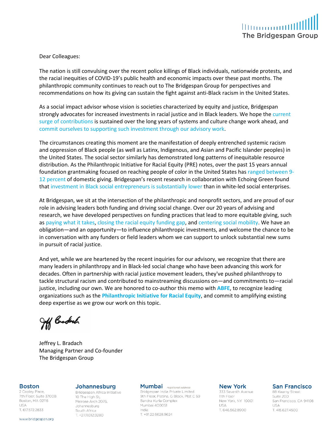

Dear Colleagues:

The nation is still convulsing over the recent police killings of Black individuals, nationwide protests, and the racial inequities of COVID-19's public health and economic impacts over these past months. The philanthropic community continues to reach out to The Bridgespan Group for perspectives and recommendations on how its giving can sustain the fight against anti-Black racism in the United States.

As a social impact advisor whose vision is societies characterized by equity and justice, Bridgespan strongly advocates for increased investments in racial justice and in Black leaders. We hope the [current](https://www.nytimes.com/2020/06/14/us/politics/black-lives-matter-racism-donations.html)  [surge of contributions](https://www.nytimes.com/2020/06/14/us/politics/black-lives-matter-racism-donations.html) is sustained over the long years of systems and culture change work ahead, and [commit ourselves to supporting such investment through our advisory work.](https://www.bridgespan.org/about-us/diversity-equity-inclusion-at-bridgespan/announcements/bridgespan-statement-racial-injustice-and-equity)

The circumstances creating this moment are the manifestation of deeply entrenched systemic racism and oppression of Black people (as well as Latinx, Indigenous, and Asian and Pacific Islander peoples) in the United States. The social sector similarly has demonstrated long patterns of inequitable resource distribution. As the Philanthropic Initiative for Racial Equity (PRE) notes, over the past 15 years annual foundation grantmaking focused on reaching people of color in the United States has [ranged between 9-](https://racialequity.org/pre-infographics/) [12](https://racialequity.org/pre-infographics/) percent of domestic giving. Bridgespan's recent research in collaboration with Echoing Green found that [investment in Black social entrepreneurs is substantially lower](https://www.bridgespan.org/insights/library/philanthropy/disparities-nonprofit-funding-for-leaders-of-color) than in white-led social enterprises.

At Bridgespan, we sit at the intersection of the philanthropic and nonprofit sectors, and are proud of our role in advising leaders both funding and driving social change. Over our 20 years of advising and research, we have developed perspectives on funding practices that lead to more equitable giving, such as [paying what it takes,](https://www.bridgespan.org/insights/library/pay-what-it-takes/pay-what-it-takes-philanthropy) closing [the racial equity funding gap,](https://www.bridgespan.org/special-collections/racial-equity-in-philanthropy) and [centering social mobility.](https://www.bridgespan.org/insights/library/big-bets/billion-dollar-bets-to-create-economic-opportuni) We have an obligation—and an opportunity—to influence philanthropic investments, and welcome the chance to be in conversation with any funders or field leaders whom we can support to unlock substantial new sums in pursuit of racial justice.

And yet, while we are heartened by the recent inquiries for our advisory, we recognize that there are many leaders in philanthropy and in Black-led social change who have been advancing this work for decades. Often in partnership with racial justice movement leaders, they've pushed philanthropy to tackle structural racism and contributed to mainstreaming discussions on—and commitments to—racial justice, including our own. We are honored to co-author this memo with **[ABFE](http://www.abfe.org/)**, to recognize leading organizations such as the **[Philanthropic](https://racialequity.org/) [Initiative for Racial Equity](https://racialequity.org/)**, and commit to amplifying existing deep expertise as we grow our work on this topic.

Jff Budech

Jeffrey L. Bradach Managing Partner and Co-founder The Bridgespan Group

#### **Boston**

2 Copley Place, 7th Floor, Suite 3700B Boston, MA 02116 **IISA** T. 617.572.2833

#### www.bridgespan.org

#### Johannesburg

Bridgespan Africa Initiative 10 The High St. Melrose Arch 2076. Johannesburg South Africa T. +27.11.012.9280

#### Mumbai registered address

Bridgespan India Private Limited 9th Floor, Platina, G Block, Plot C 59 Bandra Kurla Complex Mumbai 400051 India T. +91.22.6628.9624

#### **New York**

333 Seventh Avenue 11th Floor New York, NY 10001 **USA** T. 646.562.8900

#### **San Francisco**

88 Kearny Street Suite 200 San Francisco, CA 94108 **USA** T. 415.627.4500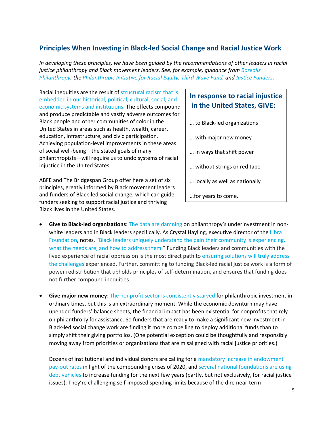# <span id="page-4-0"></span>**Principles When Investing in Black-led Social Change and Racial Justice Work**

*In developing these principles, we have been guided by the recommendations of other leaders in racial justice philanthropy and Black movement leaders. See, for example, guidance from [Borealis](https://borealisphilanthropy.org/crisis-funding-is-not-enough-invest-in-black-communities-for-long-term/)  [Philanthropy,](https://borealisphilanthropy.org/crisis-funding-is-not-enough-invest-in-black-communities-for-long-term/) th[e Philanthropic Initiative for Racial Equity,](https://racialequity.org/grantmaking-with-a-racial-justice-lens/) [Third Wave Fund,](https://thirdwavefund.org/blog/defend-our-communities-defund-the-police) an[d Justice Funders.](https://medium.com/justice-funders/dismantling-white-supremacy-anti-blackness-in-philanthropy-7256abbbb3c4)*

Racial inequities are the result of [structural racism that is](https://www.urban.org/urban-wire/how-we-should-talk-about-racial-disparities)  [embedded in our historical, political, cultural, social, and](https://www.urban.org/urban-wire/how-we-should-talk-about-racial-disparities)  [economic systems and institutions.](https://www.urban.org/urban-wire/how-we-should-talk-about-racial-disparities) The effects compound and produce predictable and vastly adverse outcomes for Black people and other communities of color in the United States in areas such as health, wealth, career, education, infrastructure, and civic participation. Achieving population-level improvements in these areas of social well-being—the stated goals of many philanthropists—will require us to undo systems of racial injustice in the United States.

ABFE and The Bridgespan Group offer here a set of six principles, greatly informed by Black movement leaders and funders of Black-led social change, which can guide funders seeking to support racial justice and thriving Black lives in the United States.

## **In response to racial injustice in the United States, GIVE:**

- … to Black-led organizations
- … with major new money
- … in ways that shift power
- … without strings or red tape
- … locally as well as nationally
- …for years to come.
- **Give to Black-led organizations**: [The data are damning](https://www.bridgespan.org/insights/library/philanthropy/disparities-nonprofit-funding-for-leaders-of-color) on philanthropy's underinvestment in nonwhite leaders and in Black leaders specifically. As Crystal Hayling, executive director of the Libra [Foundation,](https://www.thelibrafoundation.org/) notes, ["Black leaders uniquely understand the pain their community is experiencing,](https://medium.com/@thelibrafoundation/on-the-precipice-33fdcb0879e5)  [what the needs are, and how to address them.](https://medium.com/@thelibrafoundation/on-the-precipice-33fdcb0879e5)" Funding Black leaders and communities with the lived experience of racial oppression is the most direct path t[o ensuring solutions will truly address](https://www.nytimes.com/2019/11/19/opinion/philanthropy-black-women.html) [the challenges](https://www.nytimes.com/2019/11/19/opinion/philanthropy-black-women.html) experienced. Further, committing to funding Black-led racial justice work is a form of power redistribution that upholds principles of self-determination, and ensures that funding does not further compound inequities.
- **Give major new money**[: The nonprofit sector is consistently starved](https://www.philanthropy.com/sponsored-section/ending-the-nonprofit-starvatio/214) for philanthropic investment in ordinary times, but this is an extraordinary moment. While the economic downturn may have upended funders' balance sheets, the financial impact has been existential for nonprofits that rely on philanthropy for assistance. So funders that are ready to make a significant new investment in Black-led social change work are finding it more compelling to deploy additional funds than to simply shift their giving portfolios. (One potential exception could be thoughtfully and responsibly moving away from priorities or organizations that are misaligned with racial justice priorities.)

Dozens of institutional and individual donors are calling for a [mandatory increase in endowment](http://charitystimulus.org/)  [pay-out rates](http://charitystimulus.org/) in light of the compounding crises of 2020, an[d several national foundations are using](https://www.nytimes.com/2020/06/10/business/ford-foundation-bonds-coronavirus.html)  [debt vehicles](https://www.nytimes.com/2020/06/10/business/ford-foundation-bonds-coronavirus.html) to increase funding for the next few years (partly, but not exclusively, for racial justice issues). They're challenging self-imposed spending limits because of the dire near-term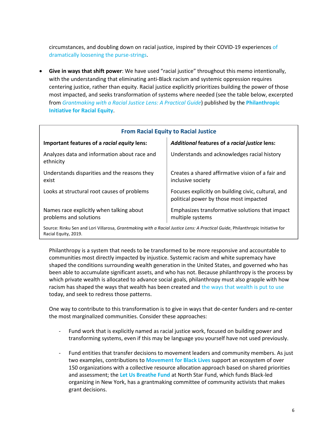circumstances, and doubling down on racial justice, inspired by their COVID-19 experiences [of](https://www.philanthropy.com/article/FoundationsNonprofits-See/248431) [dramatically loosening the purse-strings.](https://www.philanthropy.com/article/FoundationsNonprofits-See/248431)

• **Give in ways that shift power**: We have used "racial justice" throughout this memo intentionally, with the understanding that eliminating anti-Black racism and systemic oppression requires centering justice, rather than equity. Racial justice explicitly prioritizes building the power of those most impacted, and seeks transformation of systems where needed (see the table below, excerpted from *[Grantmaking with a Racial Justice Lens: A Practical Guide](https://racialequity.org/grantmaking-with-a-racial-justice-lens/)*) published by the **[Philanthropic](https://racialequity.org/)  [Initiative for Racial Equity](https://racialequity.org/)**.

| <b>From Racial Equity to Racial Justice</b>                                                                                   |                                                                                               |
|-------------------------------------------------------------------------------------------------------------------------------|-----------------------------------------------------------------------------------------------|
| Important features of a racial equity lens:                                                                                   | Additional features of a racial justice lens:                                                 |
| Analyzes data and information about race and<br>ethnicity                                                                     | Understands and acknowledges racial history                                                   |
| Understands disparities and the reasons they<br>exist                                                                         | Creates a shared affirmative vision of a fair and<br>inclusive society                        |
| Looks at structural root causes of problems                                                                                   | Focuses explicitly on building civic, cultural, and<br>political power by those most impacted |
| Names race explicitly when talking about<br>problems and solutions                                                            | Emphasizes transformative solutions that impact<br>multiple systems                           |
| Source: Rinku Sen and Lori Villarosa, Grantmaking with a Racial Justice Lens: A Practical Guide, Philanthropic Initiative for |                                                                                               |

Source: Rinku Sen and Lori Villarosa, *Grantmaking with a Racial Justice Lens: A Practical Guide*, Philanthropic Initiative for Racial Equity, 2019.

Philanthropy is a system that needs to be transformed to be more responsive and accountable to communities most directly impacted by injustice. Systemic racism and white supremacy have shaped the conditions surrounding wealth generation in the United States, and governed who has been able to accumulate significant assets, and who has not. Because philanthropy is the process by which private wealth is allocated to advance social goals, philanthropy must also grapple with how racism has shaped the ways that wealth has been created an[d the ways that wealth is put to use](https://nonprofitquarterly.org/exploring-the-problem-of-black-movement-capture-by-white-dominated-philanthropy/) today, and seek to redress those patterns.

One way to contribute to this transformation is to give in ways that de-center funders and re-center the most marginalized communities. Consider these approaches:

- Fund work that is explicitly named as racial justice work, focused on building power and transforming systems, even if this may be language you yourself have not used previously.
- Fund entities that transfer decisions to movement leaders and community members. As just two examples, contributions to **[Movement for Black Lives](https://m4bl.org/)** support an ecosystem of over 150 organizations with a collective resource allocation approach based on shared priorities and assessment; the **[Let Us Breathe Fund](https://northstarfund.org/about/let-us-breathe-fund/)** at North Star Fund, which funds Black-led organizing in New York, has a grantmaking committee of community activists that makes grant decisions.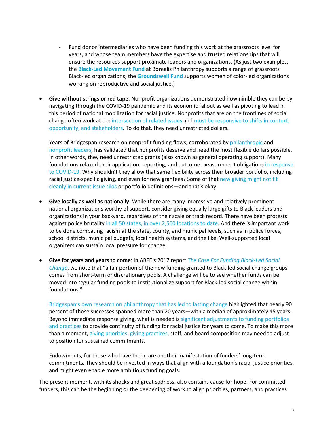- Fund donor intermediaries who have been funding this work at the grassroots level for years, and whose team members have the expertise and trusted relationships that will ensure the resources support proximate leaders and organizations. (As just two examples, the **[Black-Led Movement Fund](https://borealisphilanthropy.org/grantmaking/black-led-movement-fund/)** at Borealis Philanthropy supports a range of grassroots Black-led organizations; the **[Groundswell Fund](https://groundswellfund.org/)** supports women of color-led organizations working on reproductive and social justice.)
- **Give without strings or red tape**: Nonprofit organizations demonstrated how nimble they can be by navigating through the COVID-19 pandemic and its economic fallout as well as pivoting to lead in this period of national mobilization for racial justice. Nonprofits that are on the frontlines of social change often work at the [intersection of related issues](https://borealisphilanthropy.org/intersectionality-in-action-at-the-transforming-movements-fund/) and must be responsive to shifts in context, [opportunity, and stakeholders.](https://nff.org/blog/hidden-costs-advocating-social-change) To do that, they need unrestricted dollars.

Years of Bridgespan research on nonprofit funding flows, corroborated by [philanthropic](https://www.philanthropy.com/paid-article/five-foundations-address-the/293) and [nonprofit leaders,](https://nonprofitaf.com/2019/06/funders-you-want-to-help-build-organizational-capacity-then-stop-trying-to-build-organizational-capacity-and-just-give-multi-year-general-operating-dollars-mygod/) has validated that nonprofits deserve and need the most flexible dollars possible. In other words, they need unrestricted grants (also known as general operating support). Many foundations relaxed their application, reporting, and outcome measurement obligations in response [to COVID-19.](https://www.cof.org/news/call-action-philanthropys-commitment-during-covid-19) Why shouldn't they allow that same flexibility across their broader portfolio, including racial justice-specific giving, and even for new grantees? Some of that new giving might not fit [cleanly in current issue silos](https://www.ncrp.org/wp-content/uploads/2016/11/Smashing_Silos_in_Philanthropy_Multi-Issue_Advocacy_and_Organizing_for_Real_Results.pdf) or portfolio definitions—and that's okay.

- **Give locally as well as nationally**: While there are many impressive and relatively prominent national organizations worthy of support, consider giving equally large gifts to Black leaders and organizations in your backyard, regardless of their scale or track record. There have been protests against police brutality [in all 50 states, in over 2,500 locations to date.](https://www.nytimes.com/interactive/2020/07/03/us/george-floyd-protests-crowd-size.html) And there is important work to be done combating racism at the state, county, and municipal levels, such as in police forces, school districts, municipal budgets, local health systems, and the like. Well-supported local organizers can sustain local pressure for change.
- **Give for years and years to come**: In ABFE's 2017 report *[The Case For Funding Black-Led Social](http://www.blacksocialchange.org/wp-content/uploads/2017/02/BSCFN-Case-Statement.pdf)  [Change](http://www.blacksocialchange.org/wp-content/uploads/2017/02/BSCFN-Case-Statement.pdf)*, we note that "a fair portion of the new funding granted to Black-led social change groups comes from short-term or discretionary pools. A challenge will be to see whether funds can be moved into regular funding pools to institutionalize support for Black-led social change within foundations."

[Bridgespan's own research on philanthropy that has led to lasting change](https://hbr.org/2017/09/audacious-philanthropy) highlighted that nearly 90 percent of those successes spanned more than 20 years—with a median of approximately 45 years. Beyond immediate response giving, what is needed is significant adjustments to funding portfolios [and practices](https://www.nytimes.com/2018/11/27/opinion/philanthropy-minorities-charities.html) to provide continuity of funding for racial justice for years to come. To make this more than a moment, [giving priorities,](https://www.insidephilanthropy.com/home/2018/10/22/inside-the-libra-foundation-how-a-branch-of-the-pritzker-family-backs-movement-building) [giving practices,](https://grantcraft.org/wp-content/uploads/sites/2/2018/12/Words_to_Action-_Barbara_Chow.pdf) staff, and board composition may need to adjust to position for sustained commitments.

Endowments, for those who have them, are another manifestation of funders' long-term commitments. They should be invested in ways that align with a foundation's racial justice priorities, and might even enable more ambitious funding goals.

The present moment, with its shocks and great sadness, also contains cause for hope. For committed funders, this can be the beginning or the deepening of work to align priorities, partners, and practices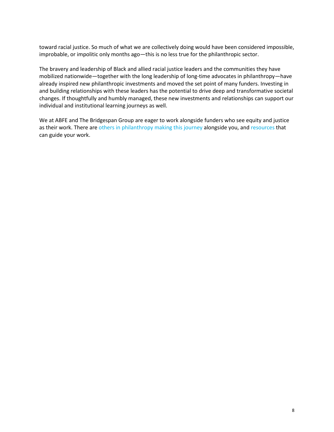toward racial justice. So much of what we are collectively doing would have been considered impossible, improbable, or impolitic only months ago—this is no less true for the philanthropic sector.

The bravery and leadership of Black and allied racial justice leaders and the communities they have mobilized nationwide—together with the long leadership of long-time advocates in philanthropy—have already inspired new philanthropic investments and moved the set point of many funders. Investing in and building relationships with these leaders has the potential to drive deep and transformative societal changes. If thoughtfully and humbly managed, these new investments and relationships can support our individual and institutional learning journeys as well.

We at ABFE and The Bridgespan Group are eager to work alongside funders who see equity and justice as their work. There are [others in philanthropy making this journey](https://www.ncrp.org/publication/responsive-philanthropy-february-2020/moving-power-to-advance-racial-equity) alongside you, and [resources](https://www.racialequitytools.org/plan/issues/philanthropy) that can guide your work.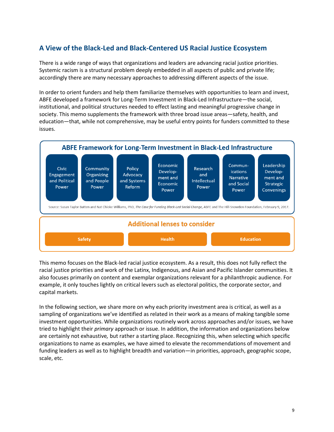# <span id="page-8-0"></span>**A View of the Black-Led and Black-Centered US Racial Justice Ecosystem**

There is a wide range of ways that organizations and leaders are advancing racial justice priorities. Systemic racism is a structural problem deeply embedded in all aspects of public and private life; accordingly there are many necessary approaches to addressing different aspects of the issue.

In order to orient funders and help them familiarize themselves with opportunities to learn and invest, ABFE developed a framework for Long-Term Investment in Black-Led Infrastructure—the social, institutional, and political structures needed to effect lasting and meaningful progressive change in society. This memo supplements the framework with three broad issue areas—safety, health, and education—that, while not comprehensive, may be useful entry points for funders committed to these issues.



This memo focuses on the Black-led racial justice ecosystem. As a result, this does not fully reflect the racial justice priorities and work of the Latinx, Indigenous, and Asian and Pacific Islander communities. It also focuses primarily on content and exemplar organizations relevant for a philanthropic audience. For example, it only touches lightly on critical levers such as electoral politics, the corporate sector, and capital markets.

In the following section, we share more on why each priority investment area is critical, as well as a sampling of organizations we've identified as related in their work as a means of making tangible some investment opportunities. While organizations routinely work across approaches and/or issues, we have tried to highlight their *primary* approach or issue. In addition, the information and organizations below are certainly not exhaustive*,* but rather a starting place. Recognizing this, when selecting which specific organizations to name as examples, we have aimed to elevate the recommendations of movement and funding leaders as well as to highlight breadth and variation—in priorities, approach, geographic scope, scale, etc.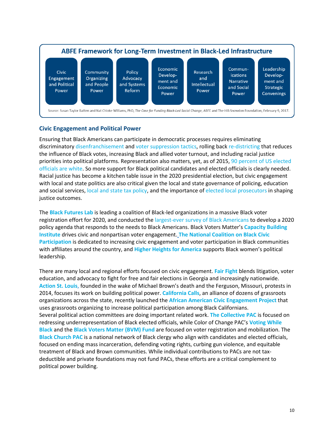

#### <span id="page-9-0"></span>**Civic Engagement and Political Power**

Ensuring that Black Americans can participate in democratic processes requires eliminating discriminatory [disenfranchisement](https://www.theatlantic.com/politics/archive/2018/07/poll-prri-voter-suppression/565355/) and [voter suppression tactics,](https://www.aclu.org/news/civil-liberties/block-the-vote-voter-suppression-in-2020/) rolling back [re-districting](https://www.brennancenter.org/issues/gerrymandering-fair-representation) that reduces the influence of Black votes, increasing Black and allied voter turnout, and including racial justice priorities into political platforms. Representation also matters, yet, as of 2015, 90 percent [of US elected](https://wholeads.us/electedofficials/)  [officials are white.](https://wholeads.us/electedofficials/) So more support for Black political candidates and elected officials is clearly needed. Racial justice has become a kitchen table issue in the 2020 presidential election, but civic engagement with local and state politics are also critical given the local and state governance of policing, education and social services[, local and state tax policy,](https://www.cbpp.org/research/state-budget-and-tax/advancing-racial-equity-with-state-tax-policy) and the importance of [elected local prosecutors](https://www.vera.org/securing-equal-justice/promoting-racial-equity-in-prosecution) in shaping justice outcomes.

The **[Black Futures Lab](https://blackfutureslab.org/)** is leading a coalition of Black-led organizations in a massive Black voter registration effort for 2020, and conducted the [largest-ever survey of Black Americans](https://blackcensus.org/) to develop a 2020 policy agenda that responds to the needs to Black Americans. Black Voters Matter's **[Capacity Building](https://www.bvmcapacitybuilding.org/)  [Institute](https://www.bvmcapacitybuilding.org/)** drives civic and nonpartisan voter engagement. **[The National Coalition on Black Civic](https://www.ncbcp.org/)  [Participation](https://www.ncbcp.org/)** is dedicated to increasing civic engagement and voter participation in Black communities with affiliates around the country, and **[Higher Heights for America](https://www.higherheightsforamerica.org/)** supports Black women's political leadership.

There are many local and regional efforts focused on civic engagement. **[Fair Fight](https://fairfight.com/)** blends litigation, voter education, and advocacy to fight for free and fair elections in Georgia and increasingly nationwide. **[Action St. Louis](https://actionstl.org/)**, founded in the wake of Michael Brown's death and the Ferguson, Missouri, protests in 2014, focuses its work on building political power. **[California Calls](http://www.cacalls.org/)**, an alliance of dozens of grassroots organizations across the state, recently launched the **[African American Civic Engagement Project](http://www.cacalls.org/african-american-civic-engagement-project/)** that uses grassroots organizing to increase political participation among Black Californians. Several political action committees are doing important related work. **[The Collective PAC](https://collectivepac.org/)** is focused on redressing underrepresentation of Black elected officials, while Color of Change PAC's **[Voting While](https://votingwhileblack.com/)  [Black](https://votingwhileblack.com/)** and the **[Black Voters Matter \(BVM\) Fund](https://www.blackvotersmatterfund.org/)** are focused on voter registration and mobilization. The **[Black Church PAC](https://www.blackchurchpac.org/)** is a national network of Black clergy who align with candidates and elected officials, focused on ending mass incarceration, defending voting rights, curbing gun violence, and equitable treatment of Black and Brown communities. While individual contributions to PACs are not taxdeductible and private foundations may not fund PACs, these efforts are a critical complement to political power building.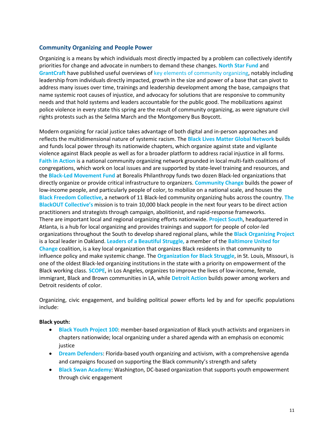#### <span id="page-10-0"></span>**Community Organizing and People Power**

Organizing is a means by which individuals most directly impacted by a problem can collectively identify priorities for change and advocate in numbers to demand these changes. **[North Star Fund](https://northstarfund.org/apply/we-fund-community-organizing/)** and **[GrantCraft](https://grantcraft.org/)** have published useful overviews of key elements [of community organizing,](https://grantcraft.org/wp-content/uploads/sites/2/2018/12/commorg.pdf) notably including leadership from individuals directly impacted, growth in the size and power of a base that can pivot to address many issues over time, trainings and leadership development among the base, campaigns that name systemic root causes of injustice, and advocacy for solutions that are responsive to community needs and that hold systems and leaders accountable for the public good. The mobilizations against police violence in every state this spring are the result of community organizing, as were signature civil rights protests such as the Selma March and the Montgomery Bus Boycott.

Modern organizing for racial justice takes advantage of both digital and in-person approaches and reflects the multidimensional nature of systemic racism. The **[Black Lives Matter Global Network](https://blacklivesmatter.com/)** builds and funds local power through its nationwide chapters, which organize against state and vigilante violence against Black people as well as for a broader platform to address racial injustice in all forms. **[Faith in Action](https://faithinaction.org/)** is a national community organizing network grounded in local multi-faith coalitions of congregations, which work on local issues and are supported by state-level training and resources, and the **[Black-Led Movement Fund](https://borealisphilanthropy.org/grantmaking/black-led-movement-fund/)** at Borealis Philanthropy funds two dozen Black-led organizations that directly organize or provide critical infrastructure to organizers. **[Community Change](https://communitychange.org/)** builds the power of low-income people, and particularly people of color, to mobilize on a national scale, and houses the **[Black Freedom Collective](https://communitychange.org/wp-content/uploads/2020/03/CC-Reinvestment-Case-for-Support-single.pdf)**, a network of 11 Black-led community organizing hubs across the country. **[The](https://blackoutcollective.org/)  [BlackOUT Collective's](https://blackoutcollective.org/)** mission is to train 10,000 black people in the next four years to be direct action practitioners and strategists through campaign, abolitionist, and rapid-response frameworks. There are important local and regional organizing efforts nationwide. **[Project South](https://projectsouth.org/)**, headquartered in Atlanta, is a hub for local organizing and provides trainings and support for people of color-led organizations throughout the South to develop shared regional plans, while the **[Black Organizing Project](http://blackorganizingproject.org/)** is a local leader in Oakland. **Leaders of a [Beautiful Struggle,](https://lbsbaltimore.com/)** a member of the **[Baltimore United for](http://bmoreunited.org/)  [Change](http://bmoreunited.org/)** coalition, is a key local organization that organizes Black residents in that community to influence policy and make systemic change. The **[Organization for Black Struggle](https://www.obs-stl.org/)**, in St. Louis, Missouri, is one of the oldest Black-led organizing institutions in the state with a priority on empowerment of the Black working class. **[SCOPE](https://scopela.org/)**, in Los Angeles, organizes to improve the lives of low-income, female, immigrant, Black and Brown communities in LA, while **[Detroit Action](https://detroitaction.org/)** builds power among workers and Detroit residents of color.

Organizing, civic engagement, and building political power efforts led by and for specific populations include:

#### **Black youth:**

- **[Black Youth Project 100](https://www.byp100.org/)**: member-based organization of Black youth activists and organizers in chapters nationwide; local organizing under a shared agenda with an emphasis on economic justice
- **[Dream Defenders](https://dreamdefenders.org/)**: Florida-based youth organizing and activism, with a comprehensive agenda and campaigns focused on supporting the Black community's strength and safety
- **[Black Swan Academy](https://www.blackswanacademy.org/)**: Washington, DC-based organization that supports youth empowerment through civic engagement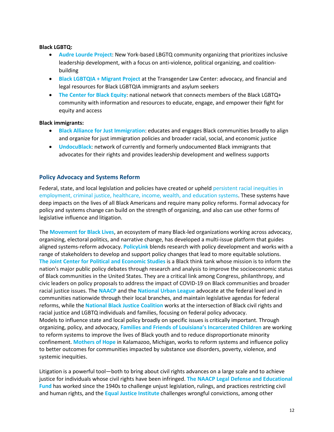#### **Black LGBTQ:**

- **[Audre Lourde Project](https://alp.org/)**: New York-based LBGTQ community organizing that prioritizes inclusive leadership development, with a focus on anti-violence, political organizing, and coalitionbuilding
- **Black LGBTQIA [+ Migrant Project](https://transgenderlawcenter.org/programs/blmp)** at the Transgender Law Center: advocacy, and financial and legal resources for Black LGBTQIA immigrants and asylum seekers
- **[The Center for Black Equity](https://centerforblackequity.org/)**: national network that connects members of the Black LGBTQ+ community with information and resources to educate, engage, and empower their fight for equity and access

#### **Black immigrants:**

- **[Black Alliance for Just Immigration](https://baji.org/)**: educates and engages Black communities broadly to align and organize for just immigration policies and broader racial, social, and economic justice
- **[UndocuBlack](https://undocublack.org/)**: network of currently and formerly undocumented Black immigrants that advocates for their rights and provides leadership development and wellness supports

#### <span id="page-11-0"></span>**Policy Advocacy and Systems Reform**

Federal, state, and local legislation and policies have created or uphel[d persistent racial inequities in](https://www.nytimes.com/interactive/2020/06/19/opinion/politics/opportunity-gaps-race-inequality.html?action=click&module=Opinion&pgtype=Homepage)  [employment, criminal justice, healthcare, income, wealth, and education systems.](https://www.nytimes.com/interactive/2020/06/19/opinion/politics/opportunity-gaps-race-inequality.html?action=click&module=Opinion&pgtype=Homepage) These systems have deep impacts on the lives of all Black Americans and require many policy reforms. Formal advocacy for policy and systems change can build on the strength of organizing, and also can use other forms of legislative influence and litigation.

The **[Movement for Black Lives](https://m4bl.org/)**, an ecosystem of many Black-led organizations working across advocacy, organizing, electoral politics, and narrative change, has developed a multi-issue platform that guides aligned systems-reform advocacy. **[PolicyLink](https://www.policylink.org/)** blends research with policy development and works with a range of stakeholders to develop and support policy changes that lead to more equitable solutions. **[The Joint Center for Political and Economic Studies](https://jointcenter.org/)** is a Black think tank whose mission is to inform the nation's major public policy debates through research and analysis to improve the socioeconomic status of Black communities in the United States. They are a critical link among Congress, philanthropy, and civic leaders on policy proposals to address the impact of COVID-19 on Black communities and broader racial justice issues. The **[NAACP](https://www.naacp.org/)** and the **[National Urban League](https://nul.org/)** advocate at the federal level and in communities nationwide through their local branches, and maintain legislative agendas for federal reforms, while the **[National Black Justice Coalition](http://nbjc.org/node?page=16%22%3B=)** works at the intersection of Black civil rights and racial justice and LGBTQ individuals and families, focusing on federal policy advocacy. Models to influence state and local policy broadly on specific issues is critically important. Through organizing, policy, and advocacy, **[Families and Friends of Louisiana's Incarcerated Children](https://www.fflic.org/)** are working to reform systems to improve the lives of Black youth and to reduce disproportionate minority confinement. **[Mothers of Hope](https://www.mothers-of-hope.org/)** in Kalamazoo, Michigan, works to reform systems and influence policy to better outcomes for communities impacted by substance use disorders, poverty, violence, and systemic inequities.

Litigation is a powerful tool—both to bring about civil rights advances on a large scale and to achieve justice for individuals whose civil rights have been infringed. **[The NAACP Legal Defense and Educational](https://www.naacpldf.org/)  [Fund](https://www.naacpldf.org/)** has worked since the 1940s to challenge unjust legislation, rulings, and practices restricting civil and human rights, and the **[Equal Justice Institute](http://www.eji.org/)** challenges wrongful convictions, among other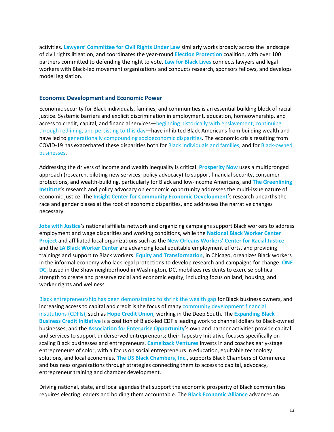activities. **[Lawyers' Committee for Civil Rights Under Law](https://www.lawyerscommittee.org/)** similarly works broadly across the landscape of civil rights litigation, and coordinates the year-round **[Election Protection](https://866ourvote.org/)** coalition, with over 100 partners committed to defending the right to vote. **[Law for Black Lives](http://www.law4blacklives.org/)** connects lawyers and legal workers with Black-led movement organizations and conducts research, sponsors fellows, and develops model legislation.

#### <span id="page-12-0"></span>**Economic Development and Economic Power**

Economic security for Black individuals, families, and communities is an essential building block of racial justice. Systemic barriers and explicit discrimination in employment, education, homeownership, and access to credit, capital, and financial services[—beginning historically with enslavement, continuing](https://www.nytimes.com/interactive/2019/08/14/magazine/racial-wealth-gap.html)  [through redlining, and persisting to this day—](https://www.nytimes.com/interactive/2019/08/14/magazine/racial-wealth-gap.html)have inhibited Black Americans from building wealth and have led to [generationally compounding socioeconomic disparities.](https://www.brookings.edu/blog/up-front/2020/02/27/examining-the-black-white-wealth-gap/) The economic crisis resulting from COVID-19 has exacerbated these disparities both for [Black individuals and families,](https://www.pewresearch.org/fact-tank/2020/05/05/financial-and-health-impacts-of-covid-19-vary-widely-by-race-and-ethnicity/) and fo[r Black-owned](https://www.mckinsey.com/industries/social-sector/our-insights/covid-19s-effect-on-minority-owned-small-businesses-in-the-united-states)  [businesses.](https://www.mckinsey.com/industries/social-sector/our-insights/covid-19s-effect-on-minority-owned-small-businesses-in-the-united-states)

Addressing the drivers of income and wealth inequality is critical. **[Prosperity Now](https://prosperitynow.org/)** uses a multipronged approach (research, piloting new services, policy advocacy) to support financial security, consumer protections, and wealth-building, particularly for Black and low-income Americans, and **[The Greenlining](https://greenlining.org/)  [Institute](https://greenlining.org/)**'s research and policy advocacy on economic opportunity addresses the multi-issue nature of economic justice. The **[Insight Center for Community Economic Development](https://insightcced.org/)**'s research unearths the race and gender biases at the root of economic disparities, and addresses the narrative changes necessary.

**[Jobs with Justice](https://www.jwj.org/)**'s national affiliate network and organizing campaigns support Black workers to address employment and wage disparities and working conditions, while the **[National Black Worker Center](https://nationalblackworkercenters.org/)  [Project](https://nationalblackworkercenters.org/)** and affiliated local organizations such as the **[New Orleans Workers' Center for Racial Justice](https://nowcrj.org/)** and the **[LA Black Worker Center](https://www.lablackworkercenter.org/)** are advancing local equitable employment efforts, and providing trainings and support to Black workers. **[Equity and Transformation](https://www.eatchicago.org/)**, in Chicago, organizes Black workers in the informal economy who lack legal protections to develop research and campaigns for change. **[ONE](https://www.onedconline.org/)  [DC,](https://www.onedconline.org/)** based in the Shaw neighborhood in Washington, DC, mobilizes residents to exercise political strength to create and preserve racial and economic equity, including focus on land, housing, and worker rights and wellness.

[Black entrepreneurship has been demonstrated to shrink the wealth gap](https://aeoworks.org/wp-content/uploads/2019/03/AEO_Black_Owned_Business_Report_02_16_17_FOR_WEB.pdf) for Black business owners, and increasing access to capital and credit is the focus of many [community development financial](https://ofn.org/what-cdfi)  [institutions \(CDFIs\),](https://ofn.org/what-cdfi) such as **[Hope Credit Union](https://hopecu.org/)**, working in the Deep South. The **[Expanding Black](https://ebbcfund.org/)  [Business Credit Initiative](https://ebbcfund.org/)** is a coalition of Black-led CDFIs leading work to channel dollars to Black-owned businesses, and the **[Association for Enterprise Opportunity](https://aeoworks.org/)**'s own and partner activities provide capital and services to support underserved entrepreneurs; their Tapestry Initiative focuses specifically on scaling Black businesses and entrepreneurs. **[Camelback Ventures](https://www.camelbackventures.org/)** invests in and coaches early-stage entrepreneurs of color, with a focus on social entrepreneurs in education, equitable technology solutions, and local economies. **[The US Black Chambers, Inc.](https://usblackchambers.org/)**, supports Black Chambers of Commerce and business organizations through strategies connecting them to access to capital, advocacy, entrepreneur training and chamber development.

Driving national, state, and local agendas that support the economic prosperity of Black communities requires electing leaders and holding them accountable. The **[Black Economic Alliance](https://blackeconomicalliance.org/)** advances an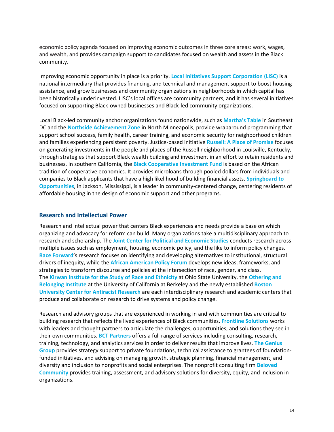economic policy agenda focused on improving economic outcomes in three core areas: work, wages, and wealth, and provides campaign support to candidates focused on wealth and assets in the Black community.

Improving economic opportunity in place is a priority. **[Local Initiatives Support Corporation \(LISC\)](https://www.lisc.org/)** is a national intermediary that provides financing, and technical and management support to boost housing assistance, and grow businesses and community organizations in neighborhoods in which capital has been historically underinvested. LISC's local offices are community partners, and it has several initiatives focused on supporting Black-owned businesses and Black-led community organizations.

Local Black-led community anchor organizations found nationwide, such as **[Martha's Table](https://marthastable.org/)** in Southeast DC and the **[Northside Achievement Zone](https://northsideachievement.org/)** in North Minneapolis, provide wraparound programming that support school success, family health, career training, and economic security for neighborhood children and families experiencing persistent poverty. Justice-based initiative **[Russell: A Place of Promise](https://russellpromise.com/)** focuses on generating investments in the people and places of the Russell neighborhood in Louisville, Kentucky, through strategies that support Black wealth building and investment in an effort to retain residents and businesses. In southern California, the **[Black Cooperative Investment Fund](http://bcifund.org/)** is based on the African tradition of cooperative economics. It provides microloans through pooled dollars from individuals and companies to Black applicants that have a high likelihood of building financial assets. **[Springboard](http://www.springboardto.org/) to [Opportunities](http://www.springboardto.org/)**, in Jackson, Mississippi, is a leader in community-centered change, centering residents of affordable housing in the design of economic support and other programs.

#### <span id="page-13-0"></span>**Research and Intellectual Power**

Research and intellectual power that centers Black experiences and needs provide a base on which organizing and advocacy for reform can build. Many organizations take a multidisciplinary approach to research and scholarship. The **[Joint Center for Political and Economic Studies](https://jointcenter.org/)** conducts research across multiple issues such as employment, housing, economic policy, and the like to inform policy changes. **[Race Forward](https://www.raceforward.org/)**'s research focuses on identifying and developing alternatives to institutional, structural drivers of inequity, while the **[African American Policy Forum](https://aapf.org/)** develops new ideas, frameworks, and strategies to transform discourse and policies at the intersection of race, gender, and class. The **[Kirwan Institute for the Study of Race and Ethnicity](http://kirwaninstitute.osu.edu/)** at Ohio State University, the **[Othering and](https://belonging.berkeley.edu/)  [Belonging Institute](https://belonging.berkeley.edu/)** at the University of California at Berkeley and the newly established **[Boston](https://www.bu.edu/antiracist-center/)  [University Center for Antiracist Research](https://www.bu.edu/antiracist-center/)** are each interdisciplinary research and academic centers that produce and collaborate on research to drive systems and policy change.

Research and advisory groups that are experienced in working in and with communities are critical to building research that reflects the lived experiences of Black communities. **[Frontline Solutions](https://www.frontlinesol.com/)** works with leaders and thought partners to articulate the challenges, opportunities, and solutions they see in their own communities. **[BCT Partners](https://www.bctpartners.com/)** offers a full range of services including consulting, research, training, technology, and analytics services in order to deliver results that improve lives. **[The Genius](http://thegeniusgroup.com/)  [Group](http://thegeniusgroup.com/)** provides strategy support to private foundations, technical assistance to grantees of foundationfunded initiatives, and advising on managing growth, strategic planning, financial management, and diversity and inclusion to nonprofits and social enterprises. The nonprofit consulting firm **[Beloved](https://www.wearebeloved.org/)  [Community](https://www.wearebeloved.org/)** provides training, assessment, and advisory solutions for diversity, equity, and inclusion in organizations.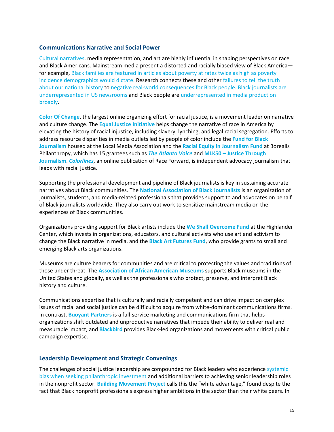#### <span id="page-14-0"></span>**Communications Narrative and Social Power**

[Cultural narratives,](https://medium.com/economicsecproj/the-power-of-narrative-in-economic-policy-27bd8a9ed888) media representation, and art are highly influential in shaping perspectives on race and Black Americans. Mainstream media present a distorted and racially biased view of Black America for example, [Black families are featured in articles about poverty at rates twice as high as poverty](https://www.washingtonpost.com/outlook/2017/12/29/a374a268-ea6d-11e7-8a6a-80acf0774e64_story.html)  [incidence demographics would dictate.](https://www.washingtonpost.com/outlook/2017/12/29/a374a268-ea6d-11e7-8a6a-80acf0774e64_story.html) Research connects these and other [failures to tell the truth](https://www.theguardian.com/world/2017/sep/16/america-has-done-a-terrible-job-of-telling-the-truth-about-racism)  [about our national history](https://www.theguardian.com/world/2017/sep/16/america-has-done-a-terrible-job-of-telling-the-truth-about-racism) to [negative real-world consequences for Black people.](https://www.opportunityagenda.org/explore/resources-publications/media-representations-impact-black-men/media-portrayals) [Black journalists are](https://www.pewresearch.org/fact-tank/2019/08/07/facts-about-black-americans-and-the-news-media/)  [underrepresented in US newsrooms](https://www.pewresearch.org/fact-tank/2019/08/07/facts-about-black-americans-and-the-news-media/) and Black people are [underrepresented in media production](https://www.nytimes.com/2020/02/06/movies/oscarssowhite-history.html) [broadly.](https://www.statista.com/topics/3342/minorities-in-media/)

**[Color Of Change](https://colorofchange.org/)**, the largest online organizing effort for racial justice, is a movement leader on narrative and culture change. The **[Equal Justice Initiative](http://www.eji.org/)** helps change the narrative of race in America by elevating the history of racial injustice, including slavery, lynching, and legal racial segregation. Efforts to address resource disparities in media outlets led by people of color include the **[Fund for Black](https://www.localmedia.org/journalism-fund-for-black-newspapers/)  [Journalism](https://www.localmedia.org/journalism-fund-for-black-newspapers/)** housed at the Local Media Association and the **[Racial Equity in Journalism Fund](https://borealisphilanthropy.org/grantmaking/racial-equity-in-journalism-fund/)** at Borealis Philanthropy, which has 15 grantees such as *[The Atlanta Voice](https://www.theatlantavoice.com/)* and **MLK50 – [Justice Through](https://mlk50.com/)  [Journalism](https://mlk50.com/)**. *[Colorlines](https://www.colorlines.com/)*, an online publication of Race Forward, is independent advocacy journalism that leads with racial justice.

Supporting the professional development and pipeline of Black journalists is key in sustaining accurate narratives about Black communities. The **[National Association of Black Journalists](https://www.nabj.org/)** is an organization of journalists, students, and media-related professionals that provides support to and advocates on behalf of Black journalists worldwide. They also carry out work to sensitize mainstream media on the experiences of Black communities.

Organizations providing support for Black artists include the **[We Shall Overcome Fund](https://www.highlandercenter.org/programs/we-shall-overcome-fund/)** at the Highlander Center, which invests in organizations, educators, and cultural activists who use art and activism to change the Black narrative in media, and the **[Black Art Futures Fund](https://www.blackartfutures.org/)**, who provide grants to small and emerging Black arts organizations.

Museums are culture bearers for communities and are critical to protecting the values and traditions of those under threat. The **[Association of African American Museums](https://blackmuseums.org/)** supports Black museums in the United States and globally, as well as the professionals who protect, preserve, and interpret Black history and culture.

Communications expertise that is culturally and racially competent and can drive impact on complex issues of racial and social justice can be difficult to acquire from white-dominant communications firms. In contrast, **[Buoyant Partners](https://www.buoyantpartners.com/)** is a full-service marketing and communications firm that helps organizations shift outdated and unproductive narratives that impede their ability to deliver real and measurable impact, and **[Blackbird](https://www.teamblackbird.org/)** provides Black-led organizations and movements with critical public campaign expertise.

#### <span id="page-14-1"></span>**Leadership Development and Strategic Convenings**

The challenges of social justice leadership are compounded for Black leaders who experienc[e systemic](https://www.bridgespan.org/insights/library/philanthropy/disparities-nonprofit-funding-for-leaders-of-color)  [bias when seeking philanthropic](https://www.bridgespan.org/insights/library/philanthropy/disparities-nonprofit-funding-for-leaders-of-color) investment and additional barriers to achieving senior leadership roles in the nonprofit sector. **[Building Movement Project](https://buildingmovement.org/)** calls this the "white advantage," found despite the fact that Black nonprofit professionals express higher ambitions in the sector than their white peers. In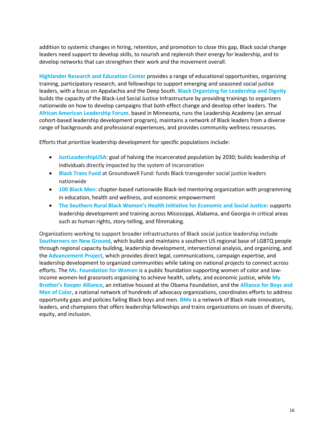addition to systemic changes in hiring, retention, and promotion to close this gap, Black social change leaders need support to develop skills, to nourish and replenish their energy for leadership, and to develop networks that can strengthen their work and the movement overall.

**[Highlander Research and Education Center](https://www.highlandercenter.org/)** provides a range of educational opportunities, organizing training, participatory research, and fellowships to support emerging and seasoned social justice leaders, with a focus on Appalachia and the Deep South. **[Black Organizing for Leadership](https://boldorganizing.org/) and Dignity**  builds the capacity of the Black-Led Social Justice Infrastructure by providing trainings to organizers nationwide on how to develop campaigns that both effect change and develop other leaders. The **[African American Leadership Forum](http://www.tcaalf.com/)**, based in Minnesota, runs the Leadership Academy (an annual cohort-based leadership development program), maintains a network of Black leaders from a diverse range of backgrounds and professional experiences, and provides community wellness resources.

Efforts that prioritize leadership development for specific populations include:

- **[JustLeadershipUSA](https://jlusa.org/)**: goal of halving the incarcerated population by 2030; builds leadership of individuals directly impacted by the system of incarceration
- **[Black Trans Fund](https://groundswellfund.org/black-trans-fund/)** at Groundswell Fund: funds Black transgender social justice leaders nationwide
- **[100 Black Men](https://100blackmen.org/)**: chapter-based nationwide Black-led mentoring organization with programming in education, health and wellness, and economic empowerment
- **[The Southern Rural Black Women's Health Initiative for Economic](http://www.srbwi.org/) and Social Justice**: supports leadership development and training across Mississippi, Alabama, and Georgia in critical areas such as human rights, story-telling, and filmmaking.

Organizations working to support broader infrastructures of Black social justice leadership include **[Southerners on New Ground](https://southernersonnewground.org/)**, which builds and maintains a southern US regional base of LGBTQ people through regional capacity building, leadership development, intersectional analysis, and organizing, and the **[Advancement Project](https://advancementproject.org/home/)**, which provides direct legal, communications, campaign expertise, and leadership development to organized communities while taking on national projects to connect across efforts. The **[Ms. Foundation for Women](https://forwomen.org/)** is a public foundation supporting women of color and lowincome women-led grassroots organizing to achieve health, safety, and economic justice, while **[My](https://www.obama.org/mbka/)  [Brother's Keeper Alliance](https://www.obama.org/mbka/)**, an initiative housed at the Obama Foundation, and the **[Alliance for Boys and](https://allianceforbmoc.org/)  [Men of Color](https://allianceforbmoc.org/)**, a national network of hundreds of advocacy organizations, coordinates efforts to address opportunity gaps and policies failing Black boys and men. **[BMe](https://bmecommunity.org/)** is a network of Black male innovators, leaders, and champions that offers leadership fellowships and trains organizations on issues of diversity, equity, and inclusion.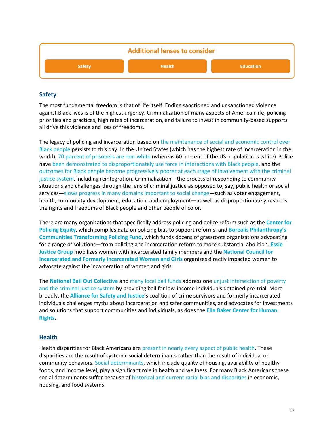

#### <span id="page-16-0"></span>**Safety**

The most fundamental freedom is that of life itself. Ending sanctioned and unsanctioned violence against Black lives is of the highest urgency. Criminalization of many aspects of American life, policing priorities and practices, high rates of incarceration, and failure to invest in community-based supports all drive this violence and loss of freedoms.

The legacy of policing and incarceration based on the maintenance of social and economic control over [Black people](https://www.youtube.com/watch?v=r4e_djVSag4) persists to this day. In the United States (which has the highest rate of incarceration in the world)[, 70 percent of prisoners are non-white](https://eji.org/news/history-racial-injustice-race-and-criminal-justice/) (whereas 60 percent of the US population is white). Police have [been demonstrated to disproportionately use force in interactions with Black people,](https://policingequity.org/images/pdfs-doc/CPE_SoJ_Race-Arrests-UoF_2016-07-08-1130.pdf) and the [outcomes for Black people become progressively poorer at each stage of involvement with the criminal](https://www.sentencingproject.org/publications/black-lives-matter-eliminating-racial-inequity-in-the-criminal-justice-system/)  [justice system,](https://www.sentencingproject.org/publications/black-lives-matter-eliminating-racial-inequity-in-the-criminal-justice-system/) including reintegration. Criminalization—the process of responding to community situations and challenges through the lens of criminal justice as opposed to, say, public health or social services[—slows progress in many domains important to social change—](https://40ep0y39wiq61vsfuh7fnei1-wpengine.netdna-ssl.com/wp-content/uploads/2018/09/FFJ-Divest-Invest-1.pdf)such as voter engagement, health, community development, education, and employment—as well as disproportionately restricts the rights and freedoms of Black people and other people of color.

There are many organizations that specifically address policing and police reform such as the **[Center for](https://policingequity.org/)  [Policing Equity](https://policingequity.org/)**, which compiles data on policing bias to support reforms, and **[Borealis Philanthropy's](https://borealisphilanthropy.org/grantmaking/communities-transforming-policing-fund/)  [Communities Transforming Policing Fund](https://borealisphilanthropy.org/grantmaking/communities-transforming-policing-fund/)**, which funds dozens of grassroots organizations advocating for a range of solutions—from policing and incarceration reform to more substantial abolition. **[Essie](https://essiejusticegroup.org/)  [Justice Group](https://essiejusticegroup.org/)** mobilizes women with incarcerated family members and the **[National Council for](https://www.nationalcouncil.us/)  [Incarcerated and Formerly Incarcerated Women and Girls](https://www.nationalcouncil.us/)** organizes directly impacted women to advocate against the incarceration of women and girls.

The **[National Bail Out Collective](https://www.nationalbailout.org/)** and [many local bail funds](https://www.communityjusticeexchange.org/nbfn-directory) address on[e unjust intersection of poverty](https://www.theatlantic.com/culture/archive/2020/06/why-sudden-popularity-bail-funds-matters/612733/)  [and the criminal justice system](https://www.theatlantic.com/culture/archive/2020/06/why-sudden-popularity-bail-funds-matters/612733/) by providing bail for low-income individuals detained pre-trial. More broadly, the **[Alliance for Safety and Justice](https://allianceforsafetyandjustice.org/)**'s coalition of crime survivors and formerly incarcerated individuals challenges myths about incarceration and safer communities, and advocates for investments and solutions that support communities and individuals, as does the **[Ella Baker Center for Human](https://ellabakercenter.org/?language=en)  [Rights](https://ellabakercenter.org/?language=en)**.

#### <span id="page-16-1"></span>**Health**

Health disparities for Black Americans ar[e present in nearly every aspect of public health.](https://www.americanprogress.org/issues/race/reports/2020/05/07/484742/health-disparities-race-ethnicity/) These disparities are the result of systemic social determinants rather than the result of individual or community behaviors. [Social determinants,](https://www.cdc.gov/socialdeterminants/index.htm) which include quality of housing, availability of healthy foods, and income level, play a significant role in health and wellness. For many Black Americans these social determinants suffer because of [historical and current racial bias and disparities](https://www.nytimes.com/2018/04/11/magazine/black-mothers-babies-death-maternal-mortality.html) in economic, housing, and food systems.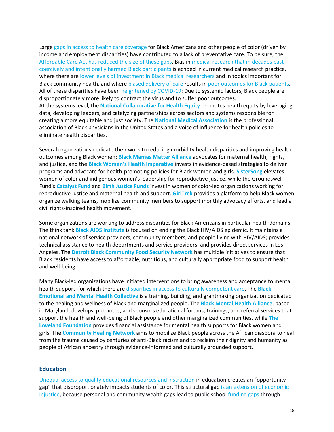Large [gaps in access to health care coverage](https://www.brookings.edu/blog/usc-brookings-schaeffer-on-health-policy/2020/02/19/there-are-clear-race-based-inequalities-in-health-insurance-and-health-outcomes/) for Black Americans and other people of color (driven by income and employment disparities) have contributed to a lack of preventative care. To be sure, the Affordable Care Act has reduced the size of these gaps. Bias in [medical research that in decades past](https://www.nytimes.com/2020/01/13/upshot/race-and-medicine-the-harm-that-comes-from-mistrust.html)  [coercively and intentionally harmed Black participants](https://www.nytimes.com/2020/01/13/upshot/race-and-medicine-the-harm-that-comes-from-mistrust.html) is echoed in current medical research practice, where there ar[e lower levels of investment in Black medical researchers](https://www.npr.org/sections/health-shots/2019/10/18/768690216/whats-behind-the-research-funding-gap-for-black-scientists) and in topics important for Black community health, and where [biased delivery of care](https://www.nytimes.com/2019/02/25/upshot/doctors-and-racial-bias-still-a-long-way-to-go.html) results i[n poor outcomes for Black patients.](https://www.nature.com/articles/d41586-019-03228-6) All of these disparities have been [heightened by COVID-19:](https://www.commonwealthfund.org/blog/2020/covid-19-more-prevalent-deadlier-us-counties-higher-black-populations) Due to systemic factors, Black people are disproportionately more likely to contract the virus and to suffer poor outcomes. At the systems level, the **[National Collaborative for Health Equity](https://www.nationalcollaborative.org/)** promotes health equity by leveraging data, developing leaders, and catalyzing partnerships across sectors and systems responsible for creating a more equitable and just society. The **[National Medical Association](https://www.nmanet.org/default.aspx)** is the professional association of Black physicians in the United States and a voice of influence for health policies to eliminate health disparities.

Several organizations dedicate their work to reducing morbidity health disparities and improving health outcomes among Black women: **[Black Mamas Matter Alliance](https://blackmamasmatter.org/)** advocates for maternal health, rights, and justice, and the **[Black Women's Health Imperative](https://bwhi.org/)** invests in evidence-based strategies to deliver programs and advocate for health-promoting policies for Black women and girls. **[SisterSong](https://www.sistersong.net/)** elevates women of color and indigenous women's leadership for reproductive justice, while the Groundswell Fund's **[Catalyst Fund](https://groundswellfund.org/catalyst-fund/)** and **[Birth Justice Funds](https://groundswellfund.org/birth-justice-fund/)** invest in women of color-led organizations working for reproductive justice and maternal health and support. **[GirlTrek](https://www.girltrek.org/)** provides a platform to help Black women organize walking teams, mobilize community members to support monthly advocacy efforts, and lead a civil rights-inspired health movement.

Some organizations are working to address disparities for Black Americans in particular health domains. The think tank **[Black AIDS Institute](https://blackaids.org/)** is focused on ending the Black HIV/AIDS epidemic. It maintains a national network of service providers, community members, and people living with HIV/AIDS; provides technical assistance to health departments and service providers; and provides direct services in Los Angeles. The **[Detroit Black Community Food Security Network](https://www.dbcfsn.org/)** has multiple initiatives to ensure that Black residents have access to affordable, nutritious, and culturally appropriate food to support health and well-being.

Many Black-led organizations have initiated interventions to bring awareness and acceptance to mental health support, for which there ar[e disparities in access to culturally competent care.](https://www.npr.org/sections/health-shots/2020/06/25/877549715/bear-our-pain-the-plea-for-more-black-mental-health-workers) The **[Black](https://www.beam.community/)  [Emotional and Mental Health Collective](https://www.beam.community/)** is a training, building, and grantmaking organization dedicated to the healing and wellness of Black and marginalized people. The **[Black Mental Health Alliance](https://blackmentalhealth.com/)**, based in Maryland, develops, promotes, and sponsors educational forums, trainings, and referral services that support the health and well-being of Black people and other marginalized communities, while **[The](https://thelovelandfoundation.org/)  [Loveland Foundation](https://thelovelandfoundation.org/)** provides financial assistance for mental health supports for Black women and girls. The **[Community Healing Network](https://www.communityhealingnet.org/)** aims to mobilize Black people across the African diaspora to heal from the trauma caused by centuries of anti-Black racism and to reclaim their dignity and humanity as people of African ancestry through evidence-informed and culturally grounded support.

#### <span id="page-17-0"></span>**Education**

[Unequal access to quality educational resources and instruction](https://www.brookings.edu/articles/unequal-opportunity-race-and-education/) in education creates an "opportunity gap" that disproportionately impacts students of color. This structural gap [is an extension of economic](https://news.stanford.edu/2019/09/23/new-data-tool-shows-school-poverty-leads-racial-achievement-gap/)  [injustice,](https://news.stanford.edu/2019/09/23/new-data-tool-shows-school-poverty-leads-racial-achievement-gap/) because personal and community wealth gaps lead to public school [funding gaps](https://www.washingtonpost.com/local/education/report-finds-23-billion-racial-funding-gap-for-schools/2019/02/25/d562b704-3915-11e9-a06c-3ec8ed509d15_story.html) through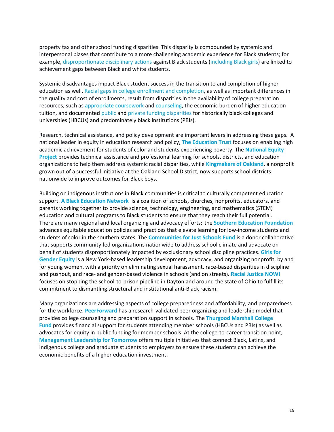property tax and other school funding disparities. This disparity is compounded by systemic and interpersonal biases that contribute to a more challenging academic experience for Black students; for example, [disproportionate disciplinary actions](https://www.brookings.edu/research/disproportionality-in-student-discipline-connecting-policy-to-research/) against Black students [\(including Black girls\)](https://www.atlanticphilanthropies.org/wp-content/uploads/2015/09/BlackGirlsMatter_Report.pdf) are linked to achievement gaps between Black and white students.

Systemic disadvantages impact Black student success in the transition to and completion of higher education as well. [Racial gaps in college enrollment and completion,](https://www.americanprogress.org/issues/education-postsecondary/reports/2018/05/23/451186/neglected-college-race-gap-racial-disparities-among-college-completers/) as well as important differences in the quality and cost of enrollments, result from disparities in the availability of college preparation resources, such a[s appropriate coursework](https://www.ednc.org/eraceing-inequities-how-access-to-advanced-placement-courses-breaks-down-by-race/) an[d counseling,](https://edtrust.org/resource/school-counselors-matter/) the economic burden of higher education tuition, and documented [public](https://www.acenet.edu/Documents/Public-and-Private-Investments-and-Divestments-in-HBCUs.pdf) an[d private funding disparities](https://philanthropynewsdigest.org/news/hbcus-struggle-to-close-the-endowment-gap) for historically black colleges and universities (HBCUs) and predominately black institutions (PBIs).

Research, technical assistance, and policy development are important levers in addressing these gaps. A national leader in equity in education research and policy, **[The Education Trust](https://edtrust.org/)** focuses on enabling high academic achievement for students of color and students experiencing poverty. The **[National Equity](https://nationalequityproject.org/)  [Project](https://nationalequityproject.org/)** provides technical assistance and professional learning for schools, districts, and education organizations to help them address systemic racial disparities, while **[Kingmakers of Oakland](https://kingmakersofoakland.org/)**, a nonprofit grown out of a successful initiative at the Oakland School District, now supports school districts nationwide to improve outcomes for Black boys.

Building on indigenous institutions in Black communities is critical to culturally competent education support. **[A Black Education Network](https://www.aben4ace.org/)** is a coalition of schools, churches, nonprofits, educators, and parents working together to provide science, technology, engineering, and mathematics (STEM) education and cultural programs to Black students to ensure that they reach their full potential. There are many regional and local organizing and advocacy efforts: the **[Southern Education Foundation](https://www.southerneducation.org/)** advances equitable education policies and practices that elevate learning for low-income students and students of color in the southern states. The **[Communities for Just Schools Fund](https://www.cjsfund.org/)** is a donor collaborative that supports community-led organizations nationwide to address school climate and advocate on behalf of students disproportionately impacted by exclusionary school discipline practices. **[Girls](http://www.ggenyc.org/) for [Gender Equity](http://www.ggenyc.org/)** is a New York-based leadership development, advocacy, and organizing nonprofit, by and for young women, with a priority on eliminating sexual harassment, race-based disparities in discipline and pushout, and race- and gender-based violence in schools (and on streets). **[Racial Justice NOW!](https://rjnohio.org/)** focuses on stopping the school-to-prison pipeline in Dayton and around the state of Ohio to fulfill its commitment to dismantling structural and institutional anti-Black racism.

Many organizations are addressing aspects of college preparedness and affordability, and preparedness for the workforce. **[PeerForward](https://www.peerforward.org/)** has a research-validated peer organizing and leadership model that provides college counseling and preparation support in schools. The **[Thurgood Marshall College](https://www.tmcf.org/)  [Fund](https://www.tmcf.org/)** provides financial support for students attending member schools (HBCUs and PBIs) as well as advocates for equity in public funding for member schools. At the college-to-career transition point, **[Management Leadership for Tomorrow](https://mlt.org/)** offers multiple initiatives that connect Black, Latinx, and Indigenous college and graduate students to employers to ensure these students can achieve the economic benefits of a higher education investment.